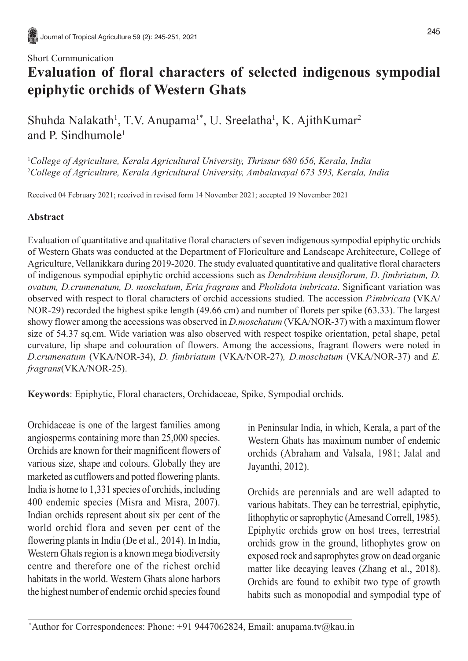## Short Communication

# **Evaluation of floral characters of selected indigenous sympodial epiphytic orchids of Western Ghats**

Shuhda Nalakath<sup>1</sup>, T.V. Anupama<sup>1\*</sup>, U. Sreelatha<sup>1</sup>, K. AjithKumar<sup>2</sup> and P. Sindhumole1

1 *College of Agriculture, Kerala Agricultural University, Thrissur 680 656, Kerala, India* 2 *College of Agriculture, Kerala Agricultural University, Ambalavayal 673 593, Kerala, India*

Received 04 February 2021; received in revised form 14 November 2021; accepted 19 November 2021

## **Abstract**

Evaluation of quantitative and qualitative floral characters of seven indigenous sympodial epiphytic orchids of Western Ghats was conducted at the Department of Floriculture and Landscape Architecture, College of Agriculture, Vellanikkara during 2019-2020. The study evaluated quantitative and qualitative floral characters of indigenous sympodial epiphytic orchid accessions such as *Dendrobium densiflorum, D. fimbriatum, D. ovatum, D.crumenatum, D. moschatum, Eria fragrans* and *Pholidota imbricata*. Significant variation was observed with respect to floral characters of orchid accessions studied. The accession *P.imbricata* (VKA/ NOR-29) recorded the highest spike length (49.66 cm) and number of florets per spike (63.33). The largest showy flower among the accessions was observed in *D.moschatum* (VKA/NOR-37) with a maximum flower size of 54.37 sq.cm. Wide variation was also observed with respect tospike orientation, petal shape, petal curvature, lip shape and colouration of flowers. Among the accessions, fragrant flowers were noted in *D.crumenatum* (VKA/NOR-34), *D. fimbriatum* (VKA/NOR-27)*, D.moschatum* (VKA/NOR-37) and *E. fragrans*(VKA/NOR-25).

**Keywords**: Epiphytic, Floral characters, Orchidaceae, Spike, Sympodial orchids.

Orchidaceae is one of the largest families among angiosperms containing more than 25,000 species. Orchids are known for their magnificent flowers of various size, shape and colours. Globally they are marketed as cutflowers and potted flowering plants. India is home to 1,331 species of orchids, including 400 endemic species (Misra and Misra, 2007). Indian orchids represent about six per cent of the world orchid flora and seven per cent of the flowering plants in India (De et al*.,* 2014). In India, Western Ghats region is a known mega biodiversity centre and therefore one of the richest orchid habitats in the world. Western Ghats alone harbors the highest number of endemic orchid species found

in Peninsular India, in which, Kerala, a part of the Western Ghats has maximum number of endemic orchids (Abraham and Valsala, 1981; Jalal and Jayanthi, 2012).

Orchids are perennials and are well adapted to various habitats. They can be terrestrial, epiphytic, lithophytic or saprophytic (Amesand Correll, 1985). Epiphytic orchids grow on host trees, terrestrial orchids grow in the ground, lithophytes grow on exposed rock and saprophytes grow on dead organic matter like decaying leaves (Zhang et al., 2018). Orchids are found to exhibit two type of growth habits such as monopodial and sympodial type of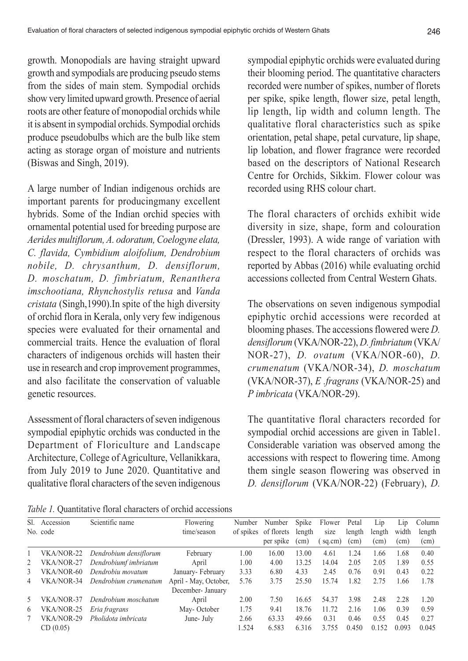growth. Monopodials are having straight upward growth and sympodials are producing pseudo stems from the sides of main stem. Sympodial orchids show very limited upward growth. Presence of aerial roots are other feature of monopodial orchids while it is absent in sympodial orchids. Sympodial orchids produce pseudobulbs which are the bulb like stem acting as storage organ of moisture and nutrients (Biswas and Singh, 2019).

A large number of Indian indigenous orchids are important parents for producingmany excellent hybrids. Some of the Indian orchid species with ornamental potential used for breeding purpose are *Aerides multiflorum, A. odoratum, Coelogyne elata, C. flavida, Cymbidium aloifolium, Dendrobium nobile, D. chrysanthum, D. densiflorum, D. moschatum, D. fimbriatum, Renanthera imschootiana, Rhynchostylis retusa* and *Vanda cristata* (Singh,1990).In spite of the high diversity of orchid flora in Kerala, only very few indigenous species were evaluated for their ornamental and commercial traits. Hence the evaluation of floral characters of indigenous orchids will hasten their use in research and crop improvement programmes, and also facilitate the conservation of valuable genetic resources.

Assessment of floral characters of seven indigenous sympodial epiphytic orchids was conducted in the Department of Floriculture and Landscape Architecture, College of Agriculture, Vellanikkara, from July 2019 to June 2020. Quantitative and qualitative floral characters of the seven indigenous sympodial epiphytic orchids were evaluated during their blooming period. The quantitative characters recorded were number of spikes, number of florets per spike, spike length, flower size, petal length, lip length, lip width and column length. The qualitative floral characteristics such as spike orientation, petal shape, petal curvature, lip shape, lip lobation, and flower fragrance were recorded based on the descriptors of National Research Centre for Orchids, Sikkim. Flower colour was recorded using RHS colour chart.

The floral characters of orchids exhibit wide diversity in size, shape, form and colouration (Dressler, 1993). A wide range of variation with respect to the floral characters of orchids was reported by Abbas (2016) while evaluating orchid accessions collected from Central Western Ghats.

The observations on seven indigenous sympodial epiphytic orchid accessions were recorded at blooming phases. The accessions flowered were *D. densiflorum* (VKA/NOR-22), *D. fimbriatum* (VKA/ NOR-27), *D. ovatum* (VKA/NOR-60), *D. crumenatum* (VKA/NOR-34), *D. moschatum* (VKA/NOR-37), *E .fragrans* (VKA/NOR-25) and *P imbricata* (VKA/NOR-29).

The quantitative floral characters recorded for sympodial orchid accessions are given in Table1. Considerable variation was observed among the accessions with respect to flowering time. Among them single season flowering was observed in *D. densiflorum* (VKA/NOR-22) (February), *D.*

*Table 1.* Quantitative floral characters of orchid accessions

| SL. | Accession    | Scientific name        | Flowering             | Number | Number               | Spike         | Flower | Petal         | Lip    | L1p           | Column |
|-----|--------------|------------------------|-----------------------|--------|----------------------|---------------|--------|---------------|--------|---------------|--------|
|     | No. code     |                        | time/season           |        | of spikes of florets | length        | size   | length        | length | width         | length |
|     |              |                        |                       |        | per spike            | $\text{cm}$ ) | sq.cm) | $\text{cm}$ ) | (cm)   | $\text{cm}$ ) | (cm)   |
|     | VKA/NOR-22   | Dendrobium densiflorum | February              | 1.00   | 16.00                | 13.00         | 4.61   | 1.24          | 1.66   | 1.68          | 0.40   |
| 2   | VKA/NOR-27   | Dendrobiumf imbriatum  | April                 | 1.00   | 4.00                 | 13.25         | 14.04  | 2.05          | 2.05   | 1.89          | 0.55   |
| 3   | $VKA/NOR-60$ | Dendrobiu movatum      | January-February      | 3.33   | 6.80                 | 4.33          | 2.45   | 0.76          | 0.91   | 0.43          | 0.22   |
| 4   | VKA/NOR-34   | Dendrobium crumenatum  | April - May, October, | 5.76   | 3.75                 | 25.50         | 15.74  | 1.82          | 2.75   | 1.66          | 1.78   |
|     |              |                        | December- January     |        |                      |               |        |               |        |               |        |
| 5   | VKA/NOR-37   | Dendrobium moschatum   | April                 | 2.00   | 7.50                 | 16.65         | 54.37  | 3.98          | 2.48   | 2.28          | 1.20   |
| 6   | VKA/NOR-25   | Eria fragrans          | May-October           | 1.75   | 9.41                 | 18.76         | 11.72  | 2.16          | 1.06   | 0.39          | 0.59   |
|     | VKA/NOR-29   | Pholidota imbricata    | June- July            | 2.66   | 63.33                | 49.66         | 0.31   | 0.46          | 0.55   | 0.45          | 0.27   |
|     | CD(0.05)     |                        |                       | 1.524  | 6.583                | 6.316         | 3.755  | 0.450         | 0.152  | 0.093         | 0.045  |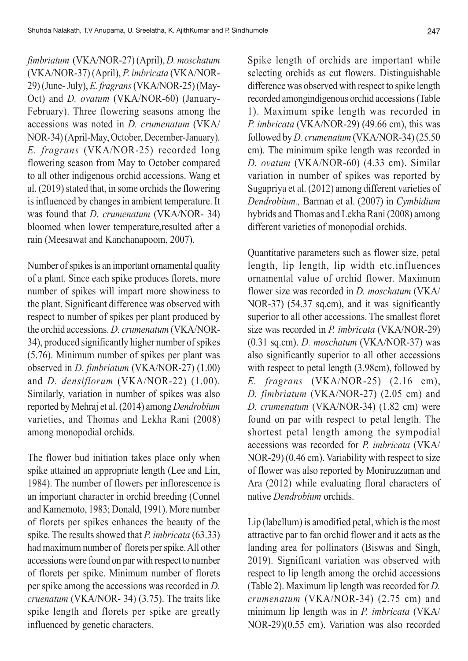*fimbriatum* (VKA/NOR-27) (April), *D. moschatum* (VKA/NOR-37) (April), *P. imbricata* (VKA/NOR-29) (June- July), *E. fragrans* (VKA/NOR-25) (May-Oct) and *D. ovatum* (VKA/NOR-60) (January-February). Three flowering seasons among the accessions was noted in *D. crumenatum* (VKA/ NOR-34) (April-May, October, December-January). *E. fragrans* (VKA/NOR-25) recorded long flowering season from May to October compared to all other indigenous orchid accessions. Wang et al. (2019) stated that, in some orchids the flowering is influenced by changes in ambient temperature. It was found that *D. crumenatum* (VKA/NOR- 34) bloomed when lower temperature,resulted after a rain (Meesawat and Kanchanapoom, 2007).

Number of spikes is an important ornamental quality of a plant. Since each spike produces florets, more number of spikes will impart more showiness to the plant. Significant difference was observed with respect to number of spikes per plant produced by the orchid accessions. *D. crumenatum* (VKA/NOR-34), produced significantly higher number of spikes (5.76). Minimum number of spikes per plant was observed in *D. fimbriatum* (VKA/NOR-27) (1.00) and *D. densiflorum* (VKA/NOR-22) (1.00). Similarly, variation in number of spikes was also reported by Mehraj et al. (2014) among *Dendrobium* varieties, and Thomas and Lekha Rani (2008) among monopodial orchids.

The flower bud initiation takes place only when spike attained an appropriate length (Lee and Lin, 1984). The number of flowers per inflorescence is an important character in orchid breeding (Connel and Kamemoto, 1983; Donald, 1991). More number of florets per spikes enhances the beauty of the spike. The results showed that *P. imbricata* (63.33) had maximum number of florets per spike. All other accessions were found on par with respect to number of florets per spike. Minimum number of florets per spike among the accessions was recorded in *D. cruenatum* (VKA/NOR- 34) (3.75). The traits like spike length and florets per spike are greatly influenced by genetic characters.

Spike length of orchids are important while selecting orchids as cut flowers. Distinguishable difference was observed with respect to spike length recorded amongindigenous orchid accessions (Table 1). Maximum spike length was recorded in *P. imbricata* (VKA/NOR-29) (49.66 cm), this was followed by *D. crumenatum* (VKA/NOR-34) (25.50 cm). The minimum spike length was recorded in *D. ovatum* (VKA/NOR-60) (4.33 cm). Similar variation in number of spikes was reported by Sugapriya et al. (2012) among different varieties of *Dendrobium.,* Barman et al. (2007) in *Cymbidium* hybrids and Thomas and Lekha Rani (2008) among different varieties of monopodial orchids.

Quantitative parameters such as flower size, petal length, lip length, lip width etc.influences ornamental value of orchid flower. Maximum flower size was recorded in *D. moschatum* (VKA/ NOR-37) (54.37 sq.cm), and it was significantly superior to all other accessions. The smallest floret size was recorded in *P. imbricata* (VKA/NOR-29) (0.31 sq.cm). *D. moschatum* (VKA/NOR-37) was also significantly superior to all other accessions with respect to petal length (3.98cm), followed by *E. fragrans* (VKA/NOR-25) (2.16 cm), *D. fimbriatum* (VKA/NOR-27) (2.05 cm) and *D. crumenatum* (VKA/NOR-34) (1.82 cm) were found on par with respect to petal length. The shortest petal length among the sympodial accessions was recorded for *P. imbricata* (VKA/ NOR-29) (0.46 cm). Variability with respect to size of flower was also reported by Moniruzzaman and Ara (2012) while evaluating floral characters of native *Dendrobium* orchids.

Lip (labellum) is amodified petal, which is the most attractive par to fan orchid flower and it acts as the landing area for pollinators (Biswas and Singh, 2019). Significant variation was observed with respect to lip length among the orchid accessions (Table 2). Maximum lip length was recorded for *D. crumenatum* (VKA/NOR-34) (2.75 cm) and minimum lip length was in *P. imbricata* (VKA/ NOR-29)(0.55 cm). Variation was also recorded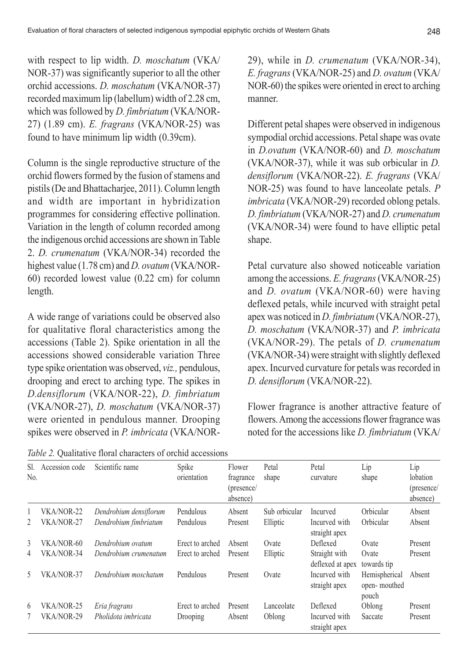with respect to lip width. *D. moschatum* (VKA/ NOR-37) was significantly superior to all the other orchid accessions. *D. moschatum* (VKA/NOR-37) recorded maximum lip (labellum) width of 2.28 cm, which was followed by *D. fimbriatum* (VKA/NOR-27) (1.89 cm). *E. fragrans* (VKA/NOR-25) was found to have minimum lip width (0.39cm).

Column is the single reproductive structure of the orchid flowers formed by the fusion of stamens and pistils (De and Bhattacharjee, 2011). Column length and width are important in hybridization programmes for considering effective pollination. Variation in the length of column recorded among the indigenous orchid accessions are shown in Table 2. *D. crumenatum* (VKA/NOR-34) recorded the highest value (1.78 cm) and *D. ovatum* (VKA/NOR-60) recorded lowest value (0.22 cm) for column length.

A wide range of variations could be observed also for qualitative floral characteristics among the accessions (Table 2). Spike orientation in all the accessions showed considerable variation Three type spike orientation was observed, *viz.,* pendulous, drooping and erect to arching type. The spikes in *D.densiflorum* (VKA/NOR-22), *D. fimbriatum* (VKA/NOR-27), *D. moschatum* (VKA/NOR-37) were oriented in pendulous manner. Drooping spikes were observed in *P. imbricata* (VKA/NOR-

*Table 2.* Qualitative floral characters of orchid accessions

29), while in *D. crumenatum* (VKA/NOR-34), *E. fragrans* (VKA/NOR-25) and *D. ovatum* (VKA/ NOR-60) the spikes were oriented in erect to arching manner.

Different petal shapes were observed in indigenous sympodial orchid accessions. Petal shape was ovate in *D.ovatum* (VKA/NOR-60) and *D. moschatum* (VKA/NOR-37), while it was sub orbicular in *D. densiflorum* (VKA/NOR-22). *E. fragrans* (VKA/ NOR-25) was found to have lanceolate petals. *P imbricata* (VKA/NOR-29) recorded oblong petals. *D. fimbriatum* (VKA/NOR-27) and *D. crumenatum* (VKA/NOR-34) were found to have elliptic petal shape.

Petal curvature also showed noticeable variation among the accessions. *E. fragrans* (VKA/NOR-25) and *D. ovatum* (VKA/NOR-60) were having deflexed petals, while incurved with straight petal apex was noticed in *D. fimbriatum* (VKA/NOR-27), *D. moschatum* (VKA/NOR-37) and *P. imbricata* (VKA/NOR-29). The petals of *D. crumenatum* (VKA/NOR-34) were straight with slightly deflexed apex. Incurved curvature for petals was recorded in *D. densiflorum* (VKA/NOR-22).

Flower fragrance is another attractive feature of flowers. Among the accessions flower fragrance was noted for the accessions like *D. fimbriatum* (VKA/

| Sl.<br>N <sub>0</sub> | Accession code | Scientific name        | Spike<br>orientation | Flower<br>fragrance<br>(presence/<br>absence) | Petal<br>shape | Petal<br>curvature                | Lip<br>shape                           | Lip<br>lobation<br>(presence/<br>absence) |
|-----------------------|----------------|------------------------|----------------------|-----------------------------------------------|----------------|-----------------------------------|----------------------------------------|-------------------------------------------|
|                       | VKA/NOR-22     | Dendrobium densiflorum | Pendulous            | Absent                                        | Sub orbicular  | Incurved                          | Orbicular                              | Absent                                    |
| 2                     | VKA/NOR-27     | Dendrobium fimbriatum  | Pendulous            | Present                                       | Elliptic       | Incurved with<br>straight apex    | Orbicular                              | Absent                                    |
| $\mathcal{E}$         | VKA/NOR-60     | Dendrobium ovatum      | Erect to arched      | Absent                                        | Ovate          | Deflexed                          | Ovate                                  | Present                                   |
| 4                     | VKA/NOR-34     | Dendrobium crumenatum  | Erect to arched      | Present                                       | Elliptic       | Straight with<br>deflexed at apex | Ovate<br>towards tip                   | Present                                   |
| 5                     | VKA/NOR-37     | Dendrobium moschatum   | Pendulous            | Present                                       | Ovate          | Incurved with<br>straight apex    | Hemispherical<br>open-mouthed<br>pouch | Absent                                    |
| 6                     | VKA/NOR-25     | Eria fragrans          | Erect to arched      | Present                                       | Lanceolate     | Deflexed                          | Oblong                                 | Present                                   |
|                       | VKA/NOR-29     | Pholidota imbricata    | Drooping             | Absent                                        | Oblong         | Incurved with<br>straight apex    | Saccate                                | Present                                   |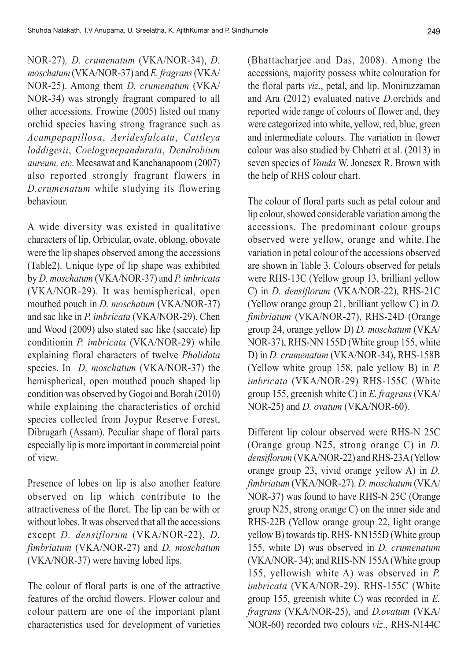NOR-27)*, D. crumenatum* (VKA/NOR-34), *D. moschatum* (VKA/NOR-37) and *E. fragrans* (VKA/ NOR-25). Among them *D. crumenatum* (VKA/ NOR-34) was strongly fragrant compared to all other accessions. Frowine (2005) listed out many orchid species having strong fragrance such as *Acampepapillosa*, *Aeridesfalcata*, *Cattleya loddigesii*, *Coelogynepandurata*, *Dendrobium aureum, etc*. Meesawat and Kanchanapoom (2007) also reported strongly fragrant flowers in *D.crumenatum* while studying its flowering behaviour.

A wide diversity was existed in qualitative characters of lip. Orbicular, ovate, oblong, obovate were the lip shapes observed among the accessions (Table2). Unique type of lip shape was exhibited by *D. moschatum* (VKA/NOR-37) and *P. imbricata* (VKA/NOR-29). It was hemispherical, open mouthed pouch in *D. moschatum* (VKA/NOR-37) and sac like in *P. imbricata* (VKA/NOR-29). Chen and Wood (2009) also stated sac like (saccate) lip conditionin *P. imbricata* (VKA/NOR-29) while explaining floral characters of twelve *Pholidota* species. In *D. moschatum* (VKA/NOR-37) the hemispherical, open mouthed pouch shaped lip condition was observed by Gogoi and Borah (2010) while explaining the characteristics of orchid species collected from Joypur Reserve Forest, Dibrugarh (Assam). Peculiar shape of floral parts especially lip is more important in commercial point of view.

Presence of lobes on lip is also another feature observed on lip which contribute to the attractiveness of the floret. The lip can be with or without lobes. It was observed that all the accessions except *D. densiflorum* (VKA/NOR-22), *D. fimbriatum* (VKA/NOR-27) and *D. moschatum* (VKA/NOR-37) were having lobed lips.

The colour of floral parts is one of the attractive features of the orchid flowers. Flower colour and colour pattern are one of the important plant characteristics used for development of varieties (Bhattacharjee and Das, 2008). Among the accessions, majority possess white colouration for the floral parts *viz*., petal, and lip. Moniruzzaman and Ara (2012) evaluated native *D.*orchids and reported wide range of colours of flower and, they were categorized into white, yellow, red, blue, green and intermediate colours. The variation in flower colour was also studied by Chhetri et al. (2013) in seven species of *Vanda* W. Jonesex R. Brown with the help of RHS colour chart.

The colour of floral parts such as petal colour and lip colour, showed considerable variation among the accessions. The predominant colour groups observed were yellow, orange and white.The variation in petal colour of the accessions observed are shown in Table 3. Colours observed for petals were RHS-13C (Yellow group 13, brilliant yellow C) in *D. densiflorum* (VKA/NOR-22), RHS-21C (Yellow orange group 21, brilliant yellow C) in *D. fimbriatum* (VKA/NOR-27), RHS-24D (Orange group 24, orange yellow D) *D. moschatum* (VKA/ NOR-37), RHS-NN 155D (White group 155, white D) in *D. crumenatum* (VKA/NOR-34), RHS-158B (Yellow white group 158, pale yellow B) in *P. imbricata* (VKA/NOR-29) RHS-155C (White group 155, greenish white C) in *E. fragrans* (VKA/ NOR-25) and *D. ovatum* (VKA/NOR-60).

Different lip colour observed were RHS-N 25C (Orange group N25, strong orange C) in *D. densiflorum* (VKA/NOR-22) and RHS-23A (Yellow orange group 23, vivid orange yellow A) in *D. fimbriatum* (VKA/NOR-27). *D. moschatum* (VKA/ NOR-37) was found to have RHS-N 25C (Orange group N25, strong orange C) on the inner side and RHS-22B (Yellow orange group 22, light orange yellow B) towards tip. RHS- NN155D (White group 155, white D) was observed in *D. crumenatum* (VKA/NOR- 34); and RHS-NN 155A (White group 155, yellowish white A) was observed in *P. imbricata* (VKA/NOR-29). RHS-155C (White group 155, greenish white C) was recorded in *E. fragrans* (VKA/NOR-25), and *D.ovatum* (VKA/ NOR-60) recorded two colours *viz*., RHS-N144C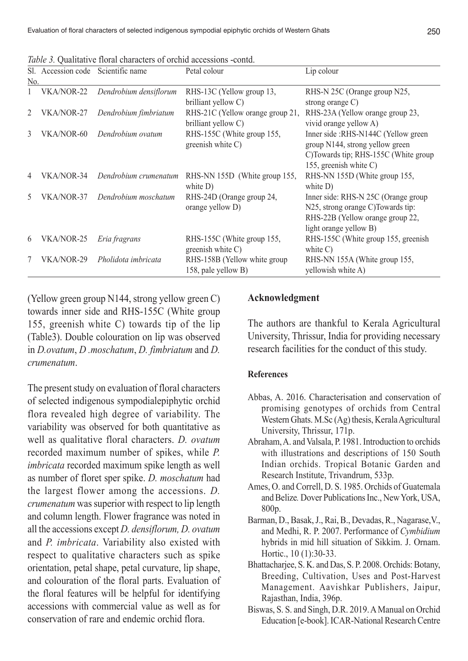|                | Sl. Accession code Scientific name |                        | Petal colour                     | Lip colour                            |  |  |
|----------------|------------------------------------|------------------------|----------------------------------|---------------------------------------|--|--|
| No.            |                                    |                        |                                  |                                       |  |  |
|                | VKA/NOR-22                         | Dendrobium densiflorum | RHS-13C (Yellow group 13,        | RHS-N 25C (Orange group N25,          |  |  |
|                |                                    |                        | brilliant yellow C)              | strong orange $C$ )                   |  |  |
| $\mathfrak{D}$ | VKA/NOR-27                         | Dendrobium fimbriatum  | RHS-21C (Yellow orange group 21, | RHS-23A (Yellow orange group 23,      |  |  |
|                |                                    |                        | brilliant yellow C)              | vivid orange yellow A)                |  |  |
| $\mathcal{E}$  | VKA/NOR-60                         | Dendrobium ovatum      | RHS-155C (White group 155,       | Inner side : RHS-N144C (Yellow green  |  |  |
|                |                                    |                        | greenish white $C$ )             | group N144, strong yellow green       |  |  |
|                |                                    |                        |                                  | C) Towards tip: RHS-155C (White group |  |  |
|                |                                    |                        |                                  | 155, greenish white C)                |  |  |
| $\overline{4}$ | VKA/NOR-34                         | Dendrobium crumenatum  | RHS-NN 155D (White group 155,    | RHS-NN 155D (White group 155,         |  |  |
|                |                                    |                        | white $D$ )                      | white $D$ )                           |  |  |
| 5              | VKA/NOR-37                         | Dendrobium moschatum   | RHS-24D (Orange group 24,        | Inner side: RHS-N 25C (Orange group   |  |  |
|                |                                    |                        | orange yellow D)                 | N25, strong orange C) Towards tip:    |  |  |
|                |                                    |                        |                                  | RHS-22B (Yellow orange group 22,      |  |  |
|                |                                    |                        |                                  | light orange yellow B)                |  |  |
| 6              | VKA/NOR-25                         | Eria fragrans          | RHS-155C (White group 155,       | RHS-155C (White group 155, greenish   |  |  |
|                |                                    |                        | greenish white $C$ )             | white $C$ )                           |  |  |
| 7              | VKA/NOR-29                         | Pholidota imbricata    | RHS-158B (Yellow white group     | RHS-NN 155A (White group 155,         |  |  |
|                |                                    |                        | 158, pale yellow B)              | yellowish white A)                    |  |  |

*Table 3.* Qualitative floral characters of orchid accessions -contd.

(Yellow green group N144, strong yellow green C) towards inner side and RHS-155C (White group 155, greenish white C) towards tip of the lip (Table3). Double colouration on lip was observed in *D.ovatum*, *D .moschatum*, *D. fimbriatum* and *D. crumenatum*.

The present study on evaluation of floral characters of selected indigenous sympodialepiphytic orchid flora revealed high degree of variability. The variability was observed for both quantitative as well as qualitative floral characters. *D. ovatum* recorded maximum number of spikes, while *P. imbricata* recorded maximum spike length as well as number of floret sper spike. *D. moschatum* had the largest flower among the accessions. *D. crumenatum* was superior with respect to lip length and column length. Flower fragrance was noted in all the accessions except *D. densiflorum, D. ovatum* and *P. imbricata*. Variability also existed with respect to qualitative characters such as spike orientation, petal shape, petal curvature, lip shape, and colouration of the floral parts. Evaluation of the floral features will be helpful for identifying accessions with commercial value as well as for conservation of rare and endemic orchid flora.

#### **Acknowledgment**

The authors are thankful to Kerala Agricultural University, Thrissur, India for providing necessary research facilities for the conduct of this study.

#### **References**

- Abbas, A. 2016. Characterisation and conservation of promising genotypes of orchids from Central Western Ghats. M.Sc (Ag) thesis, Kerala Agricultural University, Thrissur, 171p.
- Abraham, A. and Valsala, P. 1981. Introduction to orchids with illustrations and descriptions of 150 South Indian orchids. Tropical Botanic Garden and Research Institute, Trivandrum, 533p.
- Ames, O. and Correll, D. S. 1985. Orchids of Guatemala and Belize*.* Dover Publications Inc., New York, USA, 800p.
- Barman, D., Basak, J., Rai, B., Devadas, R., Nagarase,V., and Medhi, R. P. 2007. Performance of *Cymbidium* hybrids in mid hill situation of Sikkim. J. Ornam. Hortic., 10 (1):30-33.
- Bhattacharjee, S. K. and Das, S. P. 2008. Orchids: Botany, Breeding, Cultivation, Uses and Post-Harvest Management. Aavishkar Publishers, Jaipur, Rajasthan, India, 396p.
- Biswas, S. S. and Singh, D.R. 2019. A Manual on Orchid Education [e-book]. ICAR-National Research Centre